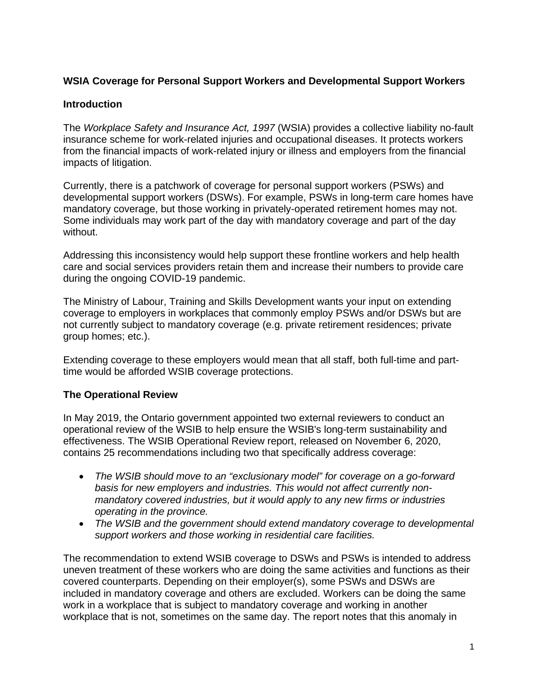### **WSIA Coverage for Personal Support Workers and Developmental Support Workers**

#### **Introduction**

The *Workplace Safety and Insurance Act, 1997* (WSIA) provides a collective liability no-fault insurance scheme for work-related injuries and occupational diseases. It protects workers from the financial impacts of work-related injury or illness and employers from the financial impacts of litigation.

Currently, there is a patchwork of coverage for personal support workers (PSWs) and developmental support workers (DSWs). For example, PSWs in long-term care homes have mandatory coverage, but those working in privately-operated retirement homes may not. Some individuals may work part of the day with mandatory coverage and part of the day without.

Addressing this inconsistency would help support these frontline workers and help health care and social services providers retain them and increase their numbers to provide care during the ongoing COVID-19 pandemic.

The Ministry of Labour, Training and Skills Development wants your input on extending coverage to employers in workplaces that commonly employ PSWs and/or DSWs but are not currently subject to mandatory coverage (e.g. private retirement residences; private group homes; etc.).

Extending coverage to these employers would mean that all staff, both full-time and parttime would be afforded WSIB coverage protections.

#### **The Operational Review**

In May 2019, the Ontario government appointed two external reviewers to conduct an operational review of the WSIB to help ensure the WSIB's long-term sustainability and effectiveness. The WSIB Operational Review report, released on November 6, 2020, contains 25 recommendations including two that specifically address coverage:

- *The WSIB should move to an "exclusionary model" for coverage on a go-forward basis for new employers and industries. This would not affect currently nonmandatory covered industries, but it would apply to any new firms or industries operating in the province.*
- *The WSIB and the government should extend mandatory coverage to developmental support workers and those working in residential care facilities.*

The recommendation to extend WSIB coverage to DSWs and PSWs is intended to address uneven treatment of these workers who are doing the same activities and functions as their covered counterparts. Depending on their employer(s), some PSWs and DSWs are included in mandatory coverage and others are excluded. Workers can be doing the same work in a workplace that is subject to mandatory coverage and working in another workplace that is not, sometimes on the same day. The report notes that this anomaly in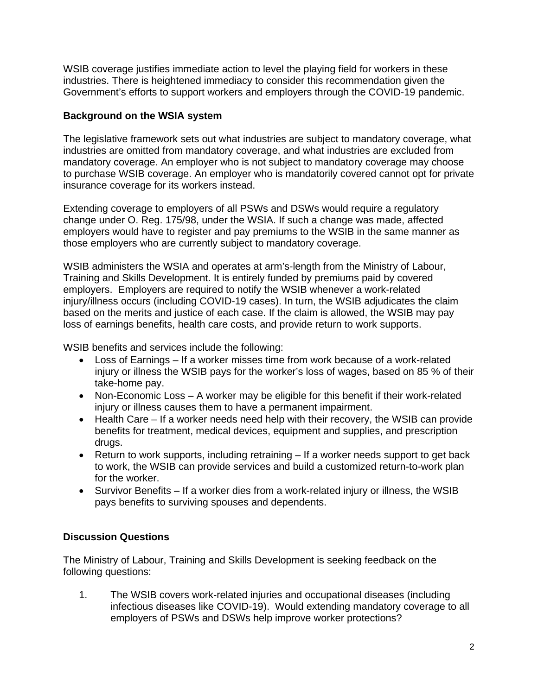WSIB coverage justifies immediate action to level the playing field for workers in these industries. There is heightened immediacy to consider this recommendation given the Government's efforts to support workers and employers through the COVID-19 pandemic.

### **Background on the WSIA system**

The legislative framework sets out what industries are subject to mandatory coverage, what industries are omitted from mandatory coverage, and what industries are excluded from mandatory coverage. An employer who is not subject to mandatory coverage may choose to purchase WSIB coverage. An employer who is mandatorily covered cannot opt for private insurance coverage for its workers instead.

Extending coverage to employers of all PSWs and DSWs would require a regulatory change under O. Reg. 175/98, under the WSIA. If such a change was made, affected employers would have to register and pay premiums to the WSIB in the same manner as those employers who are currently subject to mandatory coverage.

WSIB administers the WSIA and operates at arm's-length from the Ministry of Labour, Training and Skills Development. It is entirely funded by premiums paid by covered employers. Employers are required to notify the WSIB whenever a work-related injury/illness occurs (including COVID-19 cases). In turn, the WSIB adjudicates the claim based on the merits and justice of each case. If the claim is allowed, the WSIB may pay loss of earnings benefits, health care costs, and provide return to work supports.

WSIB benefits and services include the following:

- Loss of Earnings If a worker misses time from work because of a work-related injury or illness the WSIB pays for the worker's loss of wages, based on 85 % of their take-home pay.
- Non-Economic Loss A worker may be eligible for this benefit if their work-related injury or illness causes them to have a permanent impairment.
- Health Care If a worker needs need help with their recovery, the WSIB can provide benefits for treatment, medical devices, equipment and supplies, and prescription drugs.
- Return to work supports, including retraining If a worker needs support to get back to work, the WSIB can provide services and build a customized return-to-work plan for the worker.
- Survivor Benefits If a worker dies from a work-related injury or illness, the WSIB pays benefits to surviving spouses and dependents.

# **Discussion Questions**

The Ministry of Labour, Training and Skills Development is seeking feedback on the following questions:

1. The WSIB covers work-related injuries and occupational diseases (including infectious diseases like COVID-19). Would extending mandatory coverage to all employers of PSWs and DSWs help improve worker protections?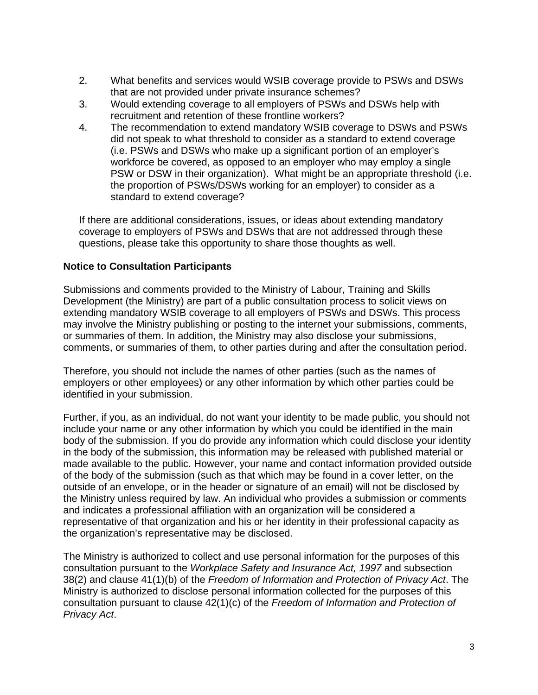- 2. What benefits and services would WSIB coverage provide to PSWs and DSWs that are not provided under private insurance schemes?
- 3. Would extending coverage to all employers of PSWs and DSWs help with recruitment and retention of these frontline workers?
- 4. The recommendation to extend mandatory WSIB coverage to DSWs and PSWs did not speak to what threshold to consider as a standard to extend coverage (i.e. PSWs and DSWs who make up a significant portion of an employer's workforce be covered, as opposed to an employer who may employ a single PSW or DSW in their organization). What might be an appropriate threshold (i.e. the proportion of PSWs/DSWs working for an employer) to consider as a standard to extend coverage?

If there are additional considerations, issues, or ideas about extending mandatory coverage to employers of PSWs and DSWs that are not addressed through these questions, please take this opportunity to share those thoughts as well.

#### **Notice to Consultation Participants**

Submissions and comments provided to the Ministry of Labour, Training and Skills Development (the Ministry) are part of a public consultation process to solicit views on extending mandatory WSIB coverage to all employers of PSWs and DSWs. This process may involve the Ministry publishing or posting to the internet your submissions, comments, or summaries of them. In addition, the Ministry may also disclose your submissions, comments, or summaries of them, to other parties during and after the consultation period.

Therefore, you should not include the names of other parties (such as the names of employers or other employees) or any other information by which other parties could be identified in your submission.

Further, if you, as an individual, do not want your identity to be made public, you should not include your name or any other information by which you could be identified in the main body of the submission. If you do provide any information which could disclose your identity in the body of the submission, this information may be released with published material or made available to the public. However, your name and contact information provided outside of the body of the submission (such as that which may be found in a cover letter, on the outside of an envelope, or in the header or signature of an email) will not be disclosed by the Ministry unless required by law. An individual who provides a submission or comments and indicates a professional affiliation with an organization will be considered a representative of that organization and his or her identity in their professional capacity as the organization's representative may be disclosed.

The Ministry is authorized to collect and use personal information for the purposes of this consultation pursuant to the *Workplace Safety and Insurance Act, 1997* and subsection 38(2) and clause 41(1)(b) of the *Freedom of Information and Protection of Privacy Act*. The Ministry is authorized to disclose personal information collected for the purposes of this consultation pursuant to clause 42(1)(c) of the *Freedom of Information and Protection of Privacy Act*.